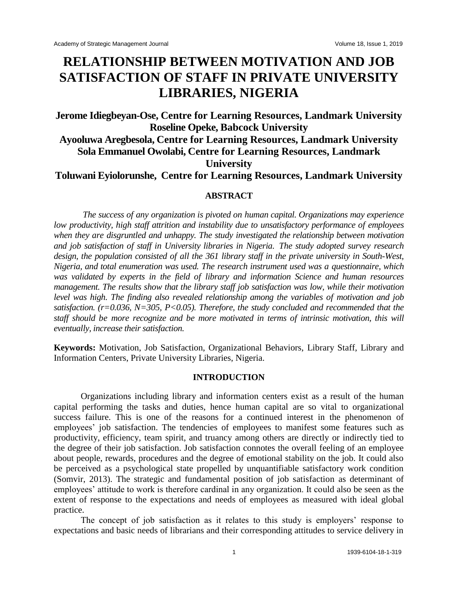# **RELATIONSHIP BETWEEN MOTIVATION AND JOB SATISFACTION OF STAFF IN PRIVATE UNIVERSITY LIBRARIES, NIGERIA**

# **Jerome Idiegbeyan-Ose, Centre for Learning Resources, Landmark University Roseline Opeke, Babcock University Ayooluwa Aregbesola, Centre for Learning Resources, Landmark University Sola Emmanuel Owolabi, Centre for Learning Resources, Landmark University Toluwani Eyiolorunshe, Centre for Learning Resources, Landmark University**

# **ABSTRACT**

*The success of any organization is pivoted on human capital. Organizations may experience low productivity, high staff attrition and instability due to unsatisfactory performance of employees when they are disgruntled and unhappy. The study investigated the relationship between motivation and job satisfaction of staff in University libraries in Nigeria. The study adopted survey research design, the population consisted of all the 361 library staff in the private university in South-West, Nigeria, and total enumeration was used. The research instrument used was a questionnaire, which was validated by experts in the field of library and information Science and human resources management. The results show that the library staff job satisfaction was low, while their motivation level was high. The finding also revealed relationship among the variables of motivation and job satisfaction. (r=0.036, N=305, P<0.05). Therefore, the study concluded and recommended that the staff should be more recognize and be more motivated in terms of intrinsic motivation, this will eventually, increase their satisfaction.*

**Keywords:** Motivation, Job Satisfaction, Organizational Behaviors, Library Staff, Library and Information Centers, Private University Libraries, Nigeria.

#### **INTRODUCTION**

Organizations including library and information centers exist as a result of the human capital performing the tasks and duties, hence human capital are so vital to organizational success failure. This is one of the reasons for a continued interest in the phenomenon of employees' job satisfaction. The tendencies of employees to manifest some features such as productivity, efficiency, team spirit, and truancy among others are directly or indirectly tied to the degree of their job satisfaction. Job satisfaction connotes the overall feeling of an employee about people, rewards, procedures and the degree of emotional stability on the job. It could also be perceived as a psychological state propelled by unquantifiable satisfactory work condition (Somvir, 2013). The strategic and fundamental position of job satisfaction as determinant of employees' attitude to work is therefore cardinal in any organization. It could also be seen as the extent of response to the expectations and needs of employees as measured with ideal global practice.

The concept of job satisfaction as it relates to this study is employers' response to expectations and basic needs of librarians and their corresponding attitudes to service delivery in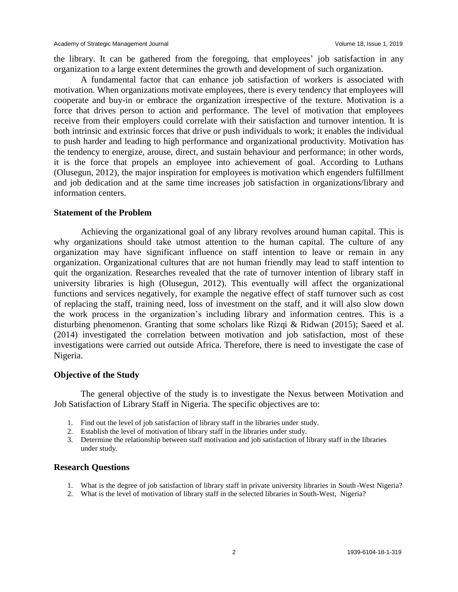the library. It can be gathered from the foregoing, that employees' job satisfaction in any organization to a large extent determines the growth and development of such organization.

A fundamental factor that can enhance job satisfaction of workers is associated with motivation. When organizations motivate employees, there is every tendency that employees will cooperate and buy-in or embrace the organization irrespective of the texture. Motivation is a force that drives person to action and performance. The level of motivation that employees receive from their employers could correlate with their satisfaction and turnover intention. It is both intrinsic and extrinsic forces that drive or push individuals to work; it enables the individual to push harder and leading to high performance and organizational productivity. Motivation has the tendency to energize, arouse, direct, and sustain behaviour and performance; in other words, it is the force that propels an employee into achievement of goal. According to Luthans (Olusegun, 2012), the major inspiration for employees is motivation which engenders fulfillment and job dedication and at the same time increases job satisfaction in organizations/library and information centers.

#### **Statement of the Problem**

Achieving the organizational goal of any library revolves around human capital. This is why organizations should take utmost attention to the human capital. The culture of any organization may have significant influence on staff intention to leave or remain in any organization. Organizational cultures that are not human friendly may lead to staff intention to quit the organization. Researches revealed that the rate of turnover intention of library staff in university libraries is high (Olusegun, 2012). This eventually will affect the organizational functions and services negatively, for example the negative effect of staff turnover such as cost of replacing the staff, training need, loss of investment on the staff, and it will also slow down the work process in the organization's including library and information centres. This is a disturbing phenomenon. Granting that some scholars like Rizqi & Ridwan (2015); Saeed et al. (2014) investigated the correlation between motivation and job satisfaction, most of these investigations were carried out outside Africa. Therefore, there is need to investigate the case of Nigeria.

# **Objective of the Study**

The general objective of the study is to investigate the Nexus between Motivation and Job Satisfaction of Library Staff in Nigeria. The specific objectives are to:

- 1. Find out the level of job satisfaction of library staff in the libraries under study.
- 2. Establish the level of motivation of library staff in the libraries under study.
- 3. Determine the relationship between staff motivation and job satisfaction of library staff in the libraries under study.

#### **Research Questions**

- 1. What is the degree of job satisfaction of library staff in private university libraries in South-West Nigeria?
- 2. What is the level of motivation of library staff in the selected libraries in South-West, Nigeria?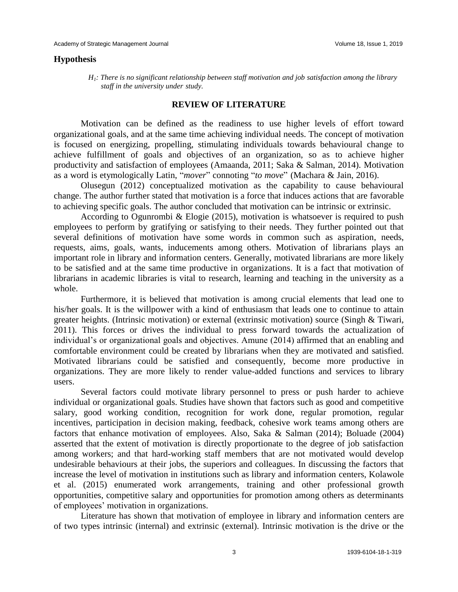#### **Hypothesis**

 *H1: There is no significant relationship between staff motivation and job satisfaction among the library staff in the university under study.*

#### **REVIEW OF LITERATURE**

Motivation can be defined as the readiness to use higher levels of effort toward organizational goals, and at the same time achieving individual needs. The concept of motivation is focused on energizing, propelling, stimulating individuals towards behavioural change to achieve fulfillment of goals and objectives of an organization, so as to achieve higher productivity and satisfaction of employees (Amaanda, 2011; Saka & Salman, 2014). Motivation as a word is etymologically Latin, "*mover*" connoting "*to move*" (Machara & Jain, 2016).

Olusegun (2012) conceptualized motivation as the capability to cause behavioural change. The author further stated that motivation is a force that induces actions that are favorable to achieving specific goals. The author concluded that motivation can be intrinsic or extrinsic.

According to Ogunrombi & Elogie (2015), motivation is whatsoever is required to push employees to perform by gratifying or satisfying to their needs. They further pointed out that several definitions of motivation have some words in common such as aspiration, needs, requests, aims, goals, wants, inducements among others. Motivation of librarians plays an important role in library and information centers. Generally, motivated librarians are more likely to be satisfied and at the same time productive in organizations. It is a fact that motivation of librarians in academic libraries is vital to research, learning and teaching in the university as a whole.

Furthermore, it is believed that motivation is among crucial elements that lead one to his/her goals. It is the willpower with a kind of enthusiasm that leads one to continue to attain greater heights. (Intrinsic motivation) or external (extrinsic motivation) source (Singh & Tiwari, 2011). This forces or drives the individual to press forward towards the actualization of individual's or organizational goals and objectives. Amune (2014) affirmed that an enabling and comfortable environment could be created by librarians when they are motivated and satisfied. Motivated librarians could be satisfied and consequently, become more productive in organizations. They are more likely to render value-added functions and services to library users.

Several factors could motivate library personnel to press or push harder to achieve individual or organizational goals. Studies have shown that factors such as good and competitive salary, good working condition, recognition for work done, regular promotion, regular incentives, participation in decision making, feedback, cohesive work teams among others are factors that enhance motivation of employees. Also, Saka & Salman (2014); Boluade (2004) asserted that the extent of motivation is directly proportionate to the degree of job satisfaction among workers; and that hard-working staff members that are not motivated would develop undesirable behaviours at their jobs, the superiors and colleagues. In discussing the factors that increase the level of motivation in institutions such as library and information centers, Kolawole et al. (2015) enumerated work arrangements, training and other professional growth opportunities, competitive salary and opportunities for promotion among others as determinants of employees' motivation in organizations.

Literature has shown that motivation of employee in library and information centers are of two types intrinsic (internal) and extrinsic (external). Intrinsic motivation is the drive or the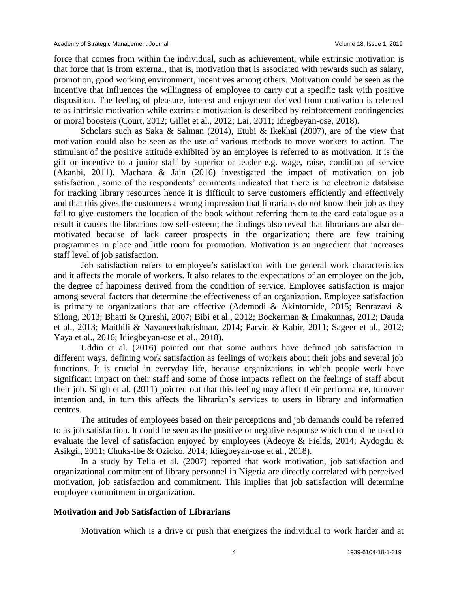force that comes from within the individual, such as achievement; while extrinsic motivation is that force that is from external, that is, motivation that is associated with rewards such as salary, promotion, good working environment, incentives among others. Motivation could be seen as the incentive that influences the willingness of employee to carry out a specific task with positive disposition. The feeling of pleasure, interest and enjoyment derived from motivation is referred to as intrinsic motivation while extrinsic motivation is described by reinforcement contingencies or moral boosters (Court, 2012; Gillet et al., 2012; Lai, 2011; Idiegbeyan-ose, 2018).

Scholars such as Saka & Salman (2014), Etubi & Ikekhai (2007), are of the view that motivation could also be seen as the use of various methods to move workers to action. The stimulant of the positive attitude exhibited by an employee is referred to as motivation. It is the gift or incentive to a junior staff by superior or leader e.g. wage, raise, condition of service (Akanbi, 2011). Machara & Jain (2016) investigated the impact of motivation on job satisfaction., some of the respondents' comments indicated that there is no electronic database for tracking library resources hence it is difficult to serve customers efficiently and effectively and that this gives the customers a wrong impression that librarians do not know their job as they fail to give customers the location of the book without referring them to the card catalogue as a result it causes the librarians low self-esteem; the findings also reveal that librarians are also demotivated because of lack career prospects in the organization; there are few training programmes in place and little room for promotion. Motivation is an ingredient that increases staff level of job satisfaction.

Job satisfaction refers to employee's satisfaction with the general work characteristics and it affects the morale of workers. It also relates to the expectations of an employee on the job, the degree of happiness derived from the condition of service. Employee satisfaction is major among several factors that determine the effectiveness of an organization. Employee satisfaction is primary to organizations that are effective (Ademodi & Akintomide, 2015; Benrazavi & Silong, 2013; Bhatti & Qureshi, 2007; Bibi et al., 2012; Bockerman & Ilmakunnas, 2012; Dauda et al., 2013; Maithili & Navaneethakrishnan, 2014; Parvin & Kabir, 2011; Sageer et al., 2012; Yaya et al., 2016; Idiegbeyan-ose et al., 2018).

Uddin et al. (2016) pointed out that some authors have defined job satisfaction in different ways, defining work satisfaction as feelings of workers about their jobs and several job functions. It is crucial in everyday life, because organizations in which people work have significant impact on their staff and some of those impacts reflect on the feelings of staff about their job. Singh et al. (2011) pointed out that this feeling may affect their performance, turnover intention and, in turn this affects the librarian's services to users in library and information centres.

The attitudes of employees based on their perceptions and job demands could be referred to as job satisfaction. It could be seen as the positive or negative response which could be used to evaluate the level of satisfaction enjoyed by employees (Adeoye & Fields, 2014; Aydogdu & Asikgil, 2011; Chuks-Ibe & Ozioko, 2014; Idiegbeyan-ose et al., 2018).

In a study by Tella et al. (2007) reported that work motivation, job satisfaction and organizational commitment of library personnel in Nigeria are directly correlated with perceived motivation, job satisfaction and commitment. This implies that job satisfaction will determine employee commitment in organization.

# **Motivation and Job Satisfaction of Librarians**

Motivation which is a drive or push that energizes the individual to work harder and at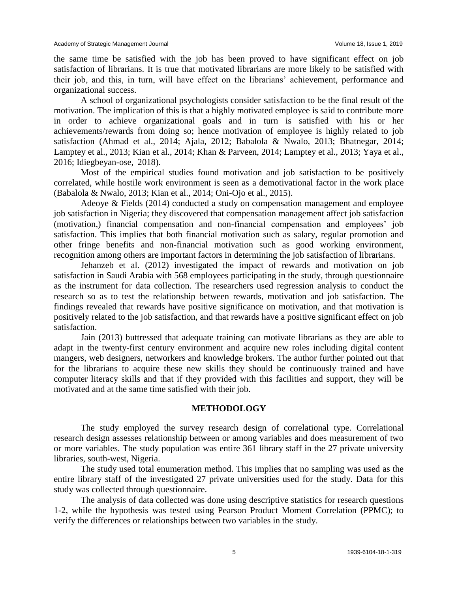the same time be satisfied with the job has been proved to have significant effect on job satisfaction of librarians. It is true that motivated librarians are more likely to be satisfied with their job, and this, in turn, will have effect on the librarians' achievement, performance and organizational success.

A school of organizational psychologists consider satisfaction to be the final result of the motivation. The implication of this is that a highly motivated employee is said to contribute more in order to achieve organizational goals and in turn is satisfied with his or her achievements/rewards from doing so; hence motivation of employee is highly related to job satisfaction (Ahmad et al., 2014; Ajala, 2012; Babalola & Nwalo, 2013; Bhatnegar, 2014; Lamptey et al., 2013; Kian et al., 2014; Khan & Parveen, 2014; Lamptey et al., 2013; Yaya et al., 2016; Idiegbeyan-ose, 2018).

Most of the empirical studies found motivation and job satisfaction to be positively correlated, while hostile work environment is seen as a demotivational factor in the work place (Babalola & Nwalo, 2013; Kian et al., 2014; Oni-Ojo et al., 2015).

Adeoye & Fields (2014) conducted a study on compensation management and employee job satisfaction in Nigeria; they discovered that compensation management affect job satisfaction (motivation,) financial compensation and non-financial compensation and employees' job satisfaction. This implies that both financial motivation such as salary, regular promotion and other fringe benefits and non-financial motivation such as good working environment, recognition among others are important factors in determining the job satisfaction of librarians.

Jehanzeb et al. (2012) investigated the impact of rewards and motivation on job satisfaction in Saudi Arabia with 568 employees participating in the study, through questionnaire as the instrument for data collection. The researchers used regression analysis to conduct the research so as to test the relationship between rewards, motivation and job satisfaction. The findings revealed that rewards have positive significance on motivation, and that motivation is positively related to the job satisfaction, and that rewards have a positive significant effect on job satisfaction.

Jain (2013) buttressed that adequate training can motivate librarians as they are able to adapt in the twenty-first century environment and acquire new roles including digital content mangers, web designers, networkers and knowledge brokers. The author further pointed out that for the librarians to acquire these new skills they should be continuously trained and have computer literacy skills and that if they provided with this facilities and support, they will be motivated and at the same time satisfied with their job.

# **METHODOLOGY**

The study employed the survey research design of correlational type. Correlational research design assesses relationship between or among variables and does measurement of two or more variables. The study population was entire 361 library staff in the 27 private university libraries, south-west, Nigeria.

The study used total enumeration method. This implies that no sampling was used as the entire library staff of the investigated 27 private universities used for the study. Data for this study was collected through questionnaire.

The analysis of data collected was done using descriptive statistics for research questions 1-2, while the hypothesis was tested using Pearson Product Moment Correlation (PPMC); to verify the differences or relationships between two variables in the study.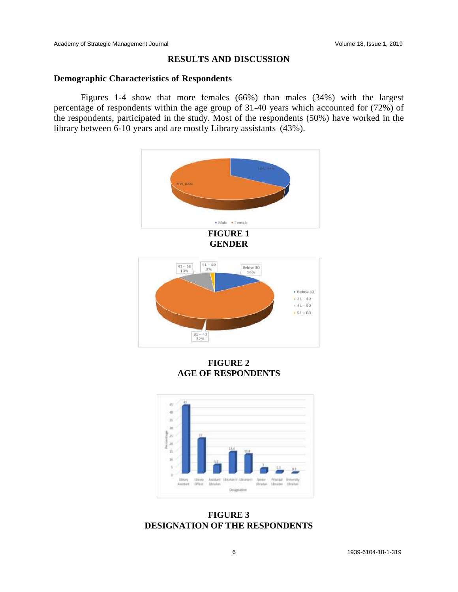# **RESULTS AND DISCUSSION**

# **Demographic Characteristics of Respondents**

Figures 1-4 show that more females (66%) than males (34%) with the largest percentage of respondents within the age group of 31-40 years which accounted for (72%) of the respondents, participated in the study. Most of the respondents (50%) have worked in the library between 6-10 years and are mostly Library assistants (43%).



**FIGURE 2 AGE OF RESPONDENTS**



**FIGURE 3 DESIGNATION OF THE RESPONDENTS**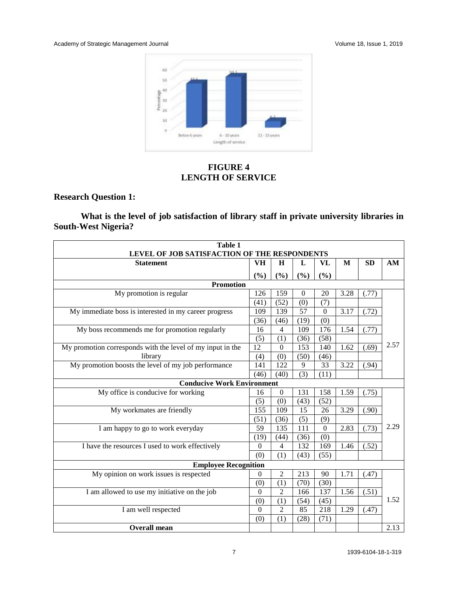

**FIGURE 4 LENGTH OF SERVICE**

# **Research Question 1:**

**What is the level of job satisfaction of library staff in private university libraries in South-West Nigeria?**

| Table 1                                                    |                |                |          |                  |      |       |      |  |  |  |
|------------------------------------------------------------|----------------|----------------|----------|------------------|------|-------|------|--|--|--|
| LEVEL OF JOB SATISFACTION OF THE RESPONDENTS               |                |                |          |                  |      |       |      |  |  |  |
| <b>Statement</b>                                           | VH             | $\bf H$        | L        | VL               | M    | SD    | AM   |  |  |  |
|                                                            | (%)            | (%)            | (%)      | (%)              |      |       |      |  |  |  |
| <b>Promotion</b>                                           |                |                |          |                  |      |       |      |  |  |  |
| My promotion is regular                                    | 126            | 159            | $\Omega$ | 20               | 3.28 | (.77) |      |  |  |  |
|                                                            | (41)           | (52)           | (0)      | (7)              |      |       |      |  |  |  |
| My immediate boss is interested in my career progress      | 109            | 139            | 57       | $\mathbf{0}$     | 3.17 | (.72) |      |  |  |  |
|                                                            | (36)           | (46)           | (19)     | (0)              |      |       |      |  |  |  |
| My boss recommends me for promotion regularly              | 16             | $\overline{4}$ | 109      | $\overline{176}$ | 1.54 | (.77) |      |  |  |  |
|                                                            | (5)            | (1)            | (36)     | (58)             |      |       |      |  |  |  |
| My promotion corresponds with the level of my input in the | 12             | $\theta$       | 153      | 140              | 1.62 | (.69) | 2.57 |  |  |  |
| library                                                    | (4)            | (0)            | (50)     | (46)             |      |       |      |  |  |  |
| My promotion boosts the level of my job performance        | 141            | 122            | 9        | 33               | 3.22 | (.94) |      |  |  |  |
|                                                            | (46)           | (40)           | (3)      | (11)             |      |       |      |  |  |  |
| <b>Conducive Work Environment</b>                          |                |                |          |                  |      |       |      |  |  |  |
| My office is conducive for working                         | 16             | $\overline{0}$ | 131      | 158              | 1.59 | (.75) |      |  |  |  |
|                                                            | (5)            | (0)            | (43)     | (52)             |      |       |      |  |  |  |
| My workmates are friendly                                  | 155            | 109            | 15       | 26               | 3.29 | (.90) |      |  |  |  |
|                                                            | (51)           | (36)           | (5)      | (9)              |      |       |      |  |  |  |
| I am happy to go to work everyday                          | 59             | 135            | 111      | $\mathbf{0}$     | 2.83 | (.73) | 2.29 |  |  |  |
|                                                            | (19)           | (44)           | (36)     | (0)              |      |       |      |  |  |  |
| I have the resources I used to work effectively            | $\Omega$       | $\overline{4}$ | 132      | 169              | 1.46 | (.52) |      |  |  |  |
|                                                            | (0)            | (1)            | (43)     | (55)             |      |       |      |  |  |  |
| <b>Employee Recognition</b>                                |                |                |          |                  |      |       |      |  |  |  |
| My opinion on work issues is respected                     | $\mathbf{0}$   | $\overline{2}$ | 213      | 90               | 1.71 | (.47) |      |  |  |  |
|                                                            | (0)            | (1)            | (70)     | (30)             |      |       |      |  |  |  |
| I am allowed to use my initiative on the job               | $\theta$       | $\overline{c}$ | 166      | 137              | 1.56 | (.51) |      |  |  |  |
|                                                            | (0)            | (1)            | (54)     | (45)             |      |       | 1.52 |  |  |  |
| I am well respected                                        | $\overline{0}$ | $\overline{2}$ | 85       | 218              | 1.29 | (.47) |      |  |  |  |
|                                                            | (0)            | (1)            | (28)     | (71)             |      |       |      |  |  |  |
| <b>Overall mean</b>                                        |                |                |          |                  |      |       | 2.13 |  |  |  |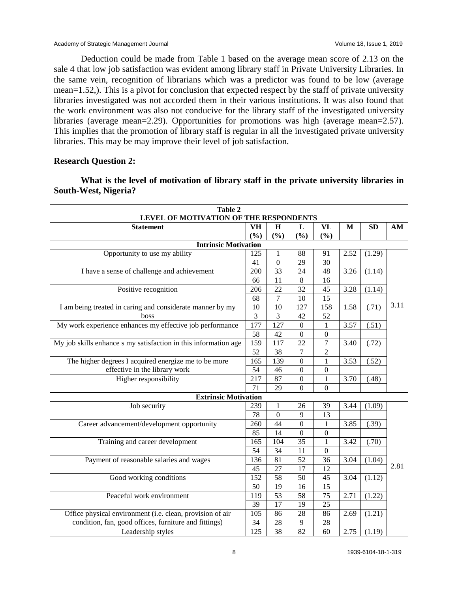Academy of Strategic Management Journal Volume 18, Issue 1, 2019

Deduction could be made from Table 1 based on the average mean score of 2.13 on the sale 4 that low job satisfaction was evident among library staff in Private University Libraries. In the same vein, recognition of librarians which was a predictor was found to be low (average mean=1.52,). This is a pivot for conclusion that expected respect by the staff of private university libraries investigated was not accorded them in their various institutions. It was also found that the work environment was also not conducive for the library staff of the investigated university libraries (average mean=2.29). Opportunities for promotions was high (average mean=2.57). This implies that the promotion of library staff is regular in all the investigated private university libraries. This may be may improve their level of job satisfaction.

# **Research Question 2:**

**What is the level of motivation of library staff in the private university libraries in South-West, Nigeria?**

| Table 2<br>LEVEL OF MOTIVATION OF THE RESPONDENTS               |                  |                |                  |                  |      |           |      |  |  |
|-----------------------------------------------------------------|------------------|----------------|------------------|------------------|------|-----------|------|--|--|
| <b>Statement</b>                                                | VH               | $\mathbf H$    | L                | VL               | M    | <b>SD</b> | AM   |  |  |
|                                                                 | (%)              | (%)            | (%)              | (%)              |      |           |      |  |  |
| <b>Intrinsic Motivation</b>                                     |                  |                |                  |                  |      |           |      |  |  |
| Opportunity to use my ability                                   | 125              | 1              | 88               | 91               | 2.52 | (1.29)    |      |  |  |
|                                                                 | 41               | $\mathbf{0}$   | 29               | 30               |      |           |      |  |  |
| I have a sense of challenge and achievement                     | 200              | 33             | 24               | 48               | 3.26 | (1.14)    |      |  |  |
|                                                                 | 66               | 11             | $\,8\,$          | 16               |      |           |      |  |  |
| Positive recognition                                            | 206              | 22             | 32               | 45               | 3.28 | (1.14)    |      |  |  |
|                                                                 | 68               | 7              | 10               | 15               |      |           |      |  |  |
| I am being treated in caring and considerate manner by my       | 10               | 10             | 127              | 158              | 1.58 | (.71)     | 3.11 |  |  |
| boss                                                            | $\overline{3}$   | 3              | 42               | 52               |      |           |      |  |  |
| My work experience enhances my effective job performance        | $\overline{177}$ | 127            | $\mathbf{0}$     | 1                | 3.57 | (.51)     |      |  |  |
|                                                                 | 58               | 42             | $\overline{0}$   | $\overline{0}$   |      |           |      |  |  |
| My job skills enhance s my satisfaction in this information age | 159              | 117            | $\overline{22}$  | 7                | 3.40 | (.72)     |      |  |  |
|                                                                 | $\overline{52}$  | 38             | 7                | $\overline{2}$   |      |           |      |  |  |
| The higher degrees I acquired energize me to be more            | 165              | 139            | $\boldsymbol{0}$ | 1                | 3.53 | (.52)     |      |  |  |
| effective in the library work                                   | 54               | 46             | $\Omega$         | $\theta$         |      |           |      |  |  |
| Higher responsibility                                           | 217              | 87             | $\mathbf{0}$     | 1                | 3.70 | (.48)     |      |  |  |
|                                                                 | 71               | 29             | $\overline{0}$   | $\overline{0}$   |      |           |      |  |  |
| <b>Extrinsic Motivation</b>                                     |                  |                |                  |                  |      |           |      |  |  |
| Job security                                                    | 239              | 1              | 26               | 39               | 3.44 | (1.09)    |      |  |  |
|                                                                 | 78               | $\overline{0}$ | 9                | 13               |      |           |      |  |  |
| Career advancement/development opportunity                      | 260              | 44             | $\boldsymbol{0}$ | $\mathbf{1}$     | 3.85 | (.39)     |      |  |  |
|                                                                 | 85               | 14             | $\boldsymbol{0}$ | $\boldsymbol{0}$ |      |           |      |  |  |
| Training and career development                                 | 165              | 104            | 35               | 1                | 3.42 | (.70)     |      |  |  |
|                                                                 | 54               | 34             | 11               | $\overline{0}$   |      |           |      |  |  |
| Payment of reasonable salaries and wages                        | 136              | 81             | 52               | 36               | 3.04 | (1.04)    |      |  |  |
|                                                                 | 45               | 27             | 17               | 12               |      |           | 2.81 |  |  |
| Good working conditions                                         | 152              | 58             | 50               | 45               | 3.04 | (1.12)    |      |  |  |
|                                                                 | 50               | 19             | 16               | 15               |      |           |      |  |  |
| Peaceful work environment                                       | 119              | 53             | 58               | 75               | 2.71 | (1.22)    |      |  |  |
|                                                                 | 39               | 17             | 19               | 25               |      |           |      |  |  |
| Office physical environment (i.e. clean, provision of air       | 105              | 86             | 28               | 86               | 2.69 | (1.21)    |      |  |  |
| condition, fan, good offices, furniture and fittings)           | 34               | 28             | 9                | 28               |      |           |      |  |  |
| Leadership styles                                               | 125              | 38             | 82               | 60               | 2.75 | (1.19)    |      |  |  |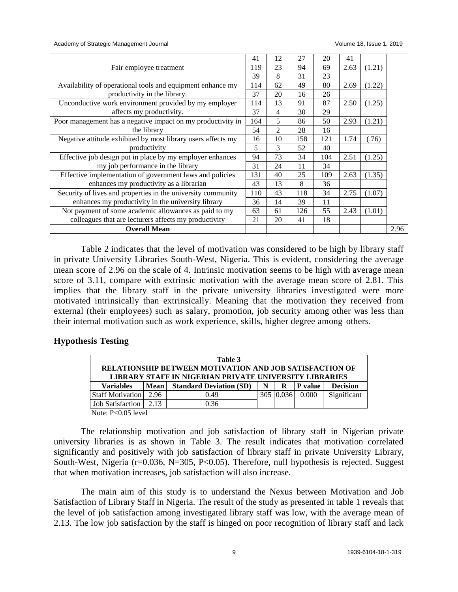Academy of Strategic Management Journal Volume 18, Issue 1, 2019

|                                                              | 41  | 12             | 27  | 20  | 41   |        |      |
|--------------------------------------------------------------|-----|----------------|-----|-----|------|--------|------|
| Fair employee treatment                                      | 119 | 23             | 94  | 69  | 2.63 | (1.21) |      |
|                                                              | 39  | 8              | 31  | 23  |      |        |      |
| Availability of operational tools and equipment enhance my   | 114 | 62             | 49  | 80  | 2.69 | (1.22) |      |
| productivity in the library.                                 | 37  | 20             | 16  | 26  |      |        |      |
| Unconductive work environment provided by my employer        | 114 | 13             | 91  | 87  | 2.50 | (1.25) |      |
| affects my productivity.                                     | 37  | 4              | 30  | 29  |      |        |      |
| Poor management has a negative impact on my productivity in  | 164 | 5              | 86  | 50  | 2.93 | (1.21) |      |
| the library                                                  | 54  | $\overline{c}$ | 28  | 16  |      |        |      |
| Negative attitude exhibited by most library users affects my | 16  | 10             | 158 | 121 | 1.74 | (.76)  |      |
| productivity                                                 | 5   | 3              | 52  | 40  |      |        |      |
| Effective job design put in place by my employer enhances    | 94  | 73             | 34  | 104 | 2.51 | (1.25) |      |
| my job performance in the library                            | 31  | 24             | 11  | 34  |      |        |      |
| Effective implementation of government laws and policies     | 131 | 40             | 25  | 109 | 2.63 | (1.35) |      |
| enhances my productivity as a librarian                      | 43  | 13             | 8   | 36  |      |        |      |
| Security of lives and properties in the university community | 110 | 43             | 118 | 34  | 2.75 | (1.07) |      |
| enhances my productivity in the university library           | 36  | 14             | 39  | 11  |      |        |      |
| Not payment of some academic allowances as paid to my        | 63  | 61             | 126 | 55  | 2.43 | (1.01) |      |
| colleagues that are lecturers affects my productivity        | 21  | 20             | 41  | 18  |      |        |      |
| <b>Overall Mean</b>                                          |     |                |     |     |      |        | 2.96 |

Table 2 indicates that the level of motivation was considered to be high by library staff in private University Libraries South-West, Nigeria. This is evident, considering the average mean score of 2.96 on the scale of 4. Intrinsic motivation seems to be high with average mean score of 3.11, compare with extrinsic motivation with the average mean score of 2.81. This implies that the library staff in the private university libraries investigated were more motivated intrinsically than extrinsically. Meaning that the motivation they received from external (their employees) such as salary, promotion, job security among other was less than their internal motivation such as work experience, skills, higher degree among others.

# **Hypothesis Testing**

| Table 3                                                                                                                  |      |                                |   |           |                |                 |  |
|--------------------------------------------------------------------------------------------------------------------------|------|--------------------------------|---|-----------|----------------|-----------------|--|
| RELATIONSHIP BETWEEN MOTIVATION AND JOB SATISFACTION OF<br><b>LIBRARY STAFF IN NIGERIAN PRIVATE UNIVERSITY LIBRARIES</b> |      |                                |   |           |                |                 |  |
| <b>Variables</b>                                                                                                         | Mean | <b>Standard Deviation (SD)</b> | N | R         | <b>P</b> value | <b>Decision</b> |  |
| <b>Staff Motivation</b>                                                                                                  | 2.96 | 0.49                           |   | 305 0.036 | 0.000          | Significant     |  |
| Job Satisfaction                                                                                                         | 2.13 | 0.36                           |   |           |                |                 |  |

Note: P<0.05 level

The relationship motivation and job satisfaction of library staff in Nigerian private university libraries is as shown in Table 3. The result indicates that motivation correlated significantly and positively with job satisfaction of library staff in private University Library, South-West, Nigeria (r=0.036, N=305, P<0.05). Therefore, null hypothesis is rejected. Suggest that when motivation increases, job satisfaction will also increase.

The main aim of this study is to understand the Nexus between Motivation and Job Satisfaction of Library Staff in Nigeria. The result of the study as presented in table 1 reveals that the level of job satisfaction among investigated library staff was low, with the average mean of 2.13. The low job satisfaction by the staff is hinged on poor recognition of library staff and lack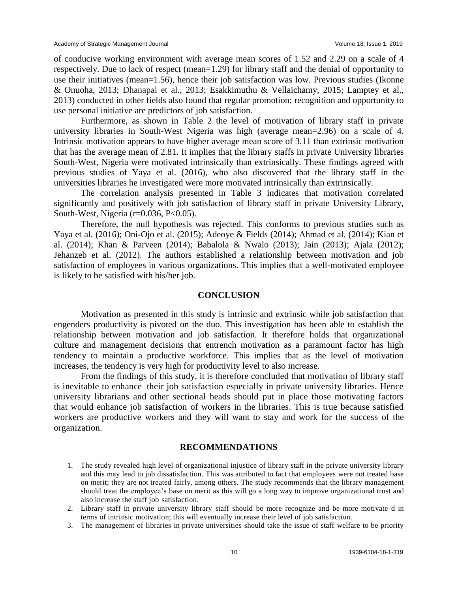of conducive working environment with average mean scores of 1.52 and 2.29 on a scale of 4 respectively. Due to lack of respect (mean=1.29) for library staff and the denial of opportunity to use their initiatives (mean=1.56), hence their job satisfaction was low. Previous studies (Ikonne & Onuoha, 2013; Dhanapal et al., 2013; Esakkimuthu & Vellaichamy, 2015; Lamptey et al., 2013) conducted in other fields also found that regular promotion; recognition and opportunity to use personal initiative are predictors of job satisfaction.

Furthermore, as shown in Table 2 the level of motivation of library staff in private university libraries in South-West Nigeria was high (average mean=2.96) on a scale of 4. Intrinsic motivation appears to have higher average mean score of 3.11 than extrinsic motivation that has the average mean of 2.81. It implies that the library staffs in private University libraries South-West, Nigeria were motivated intrinsically than extrinsically. These findings agreed with previous studies of Yaya et al. (2016), who also discovered that the library staff in the universities libraries he investigated were more motivated intrinsically than extrinsically.

The correlation analysis presented in Table 3 indicates that motivation correlated significantly and positively with job satisfaction of library staff in private University Library, South-West, Nigeria ( $r=0.036$ ,  $P<0.05$ ).

Therefore, the null hypothesis was rejected. This conforms to previous studies such as Yaya et al. (2016); Oni-Ojo et al. (2015); Adeoye & Fields (2014); Ahmad et al. (2014); Kian et al. (2014); Khan & Parveen (2014); Babalola & Nwalo (2013); Jain (2013); Ajala (2012); Jehanzeb et al. (2012). The authors established a relationship between motivation and job satisfaction of employees in various organizations. This implies that a well-motivated employee is likely to be satisfied with his/her job.

#### **CONCLUSION**

Motivation as presented in this study is intrinsic and extrinsic while job satisfaction that engenders productivity is pivoted on the duo. This investigation has been able to establish the relationship between motivation and job satisfaction. It therefore holds that organizational culture and management decisions that entrench motivation as a paramount factor has high tendency to maintain a productive workforce. This implies that as the level of motivation increases, the tendency is very high for productivity level to also increase.

From the findings of this study, it is therefore concluded that motivation of library staff is inevitable to enhance their job satisfaction especially in private university libraries. Hence university librarians and other sectional heads should put in place those motivating factors that would enhance job satisfaction of workers in the libraries. This is true because satisfied workers are productive workers and they will want to stay and work for the success of the organization.

#### **RECOMMENDATIONS**

- 1. The study revealed high level of organizational injustice of library staff in the private university library and this may lead to job dissatisfaction. This was attributed to fact that employees were not treated base on merit; they are not treated fairly, among others. The study recommends that the library management should treat the employee's base on merit as this will go a long way to improve organizational trust and also increase the staff job satisfaction.
- 2. Library staff in private university library staff should be more recognize and be more motivate d in terms of intrinsic motivation; this will eventually increase their level of job satisfaction.
- 3. The management of libraries in private universities should take the issue of staff welfare to be priority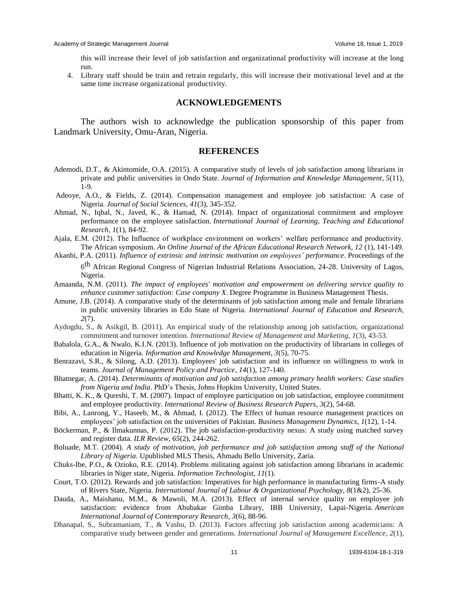Academy of Strategic Management Journal Volume 18, Issue 1, 2019

this will increase their level of job satisfaction and organizational productivity will increase at the long run.

4. Library staff should be train and retrain regularly, this will increase their motivational level and at the same time increase organizational productivity.

#### **ACKNOWLEDGEMENTS**

The authors wish to acknowledge the publication sponsorship of this paper from Landmark University, Omu-Aran, Nigeria.

#### **REFERENCES**

- Ademodi, D.T., & Akintomide, O.A. (2015). A comparative study of levels of job satisfaction among librarians in private and public universities in Ondo State. *Journal of Information and Knowledge Management*, *5*(11), 1-9.
- Adeoye, A.O., & Fields, Z. (2014). Compensation management and employee job satisfaction: A case of Nigeria. *Journal of Social Sciences*, *41*(3), 345-352.
- Ahmad, N., Iqbal, N., Javed, K., & Hamad, N. (2014). Impact of organizational commitment and employee performance on the employee satisfaction. *International Journal of Learning, Teaching and Educational Research*, *1*(1), 84-92.
- Ajala, E.M. (2012). The Influence of workplace environment on workers' welfare performance and productivity. The African symposium*. An Online Journal of the African Educational Research Network, 12* (1), 141-149.
- Akanbi, P.A. (2011). *Influence of extrinsic and intrinsic motivation on employees' performance*. Proceedings of the 6<sup>th</sup> African Regional Congress of Nigerian Industrial Relations Association, 24-28. University of Lagos, Nigeria.
- Amaanda, N.M. (2011). *The impact of employees' motivation and empowerment on delivering service quality to enhance customer satisfaction: Case company X*. Degree Programme in Business Management Thesis.
- Amune, J.B. (2014). A comparative study of the determinants of job satisfaction among male and female librarians in public university libraries in Edo State of Nigeria. *International Journal of Education and Research, 2*(7).
- Aydogdu, S., & Asikgil, B. (2011). An empirical study of the relationship among job satisfaction, organizational commitment and turnover intention. *International Review of Management and Marketing*, *1*(3), 43-53.
- Babalola, G.A., & Nwalo, K.I.N. (2013). Influence of job motivation on the productivity of librarians in colleges of education in Nigeria. *Information and Knowledge Management, 3*(5), 70-75.
- Benrazavi, S.R., & Silong, A.D. (2013). Employees' job satisfaction and its influence on willingness to work in teams. *Journal of Management Policy and Practice*, *14*(1), 127-140.
- Bhatnegar, A. (2014). *Determinants of motivation and job satisfaction among primary health workers: Case studies from Nigeria and India*. PhD's Thesis, Johns Hopkins University, United States.
- Bhatti, K. K., & Qureshi, T. M. (2007). Impact of employee participation on job satisfaction, employee commitment and employee productivity. *International Review of Business Research Papers*, *3*(2), 54-68.
- Bibi, A., Lanrong, Y., Haseeb, M., & Ahmad, I. (2012). The Effect of human resource management practices on employees' job satisfaction on the universities of Pakistan. *Business Management Dynamics*, *1*(12), 1-14.
- Böckerman, P., & Ilmakunnas, P. (2012). The job satisfaction-productivity nexus: A study using matched survey and register data. *ILR Review*, *65*(2), 244-262.
- Boluade, M.T. (2004). *A study of motivation, job performance and job satisfaction among staff of the National Library of Nigeria*. Upublished MLS Thesis, Ahmadu Bello University, Zaria.
- Chuks-Ibe, P.O., & Ozioko, R.E. (2014). Problems militating against job satisfaction among librarians in academic libraries in Niger state, Nigeria. *Information Technologist, 11*(1).
- Court, T.O. (2012). Rewards and job satisfaction: Imperatives for high performance in manufacturing firms-A study of Rivers State, Nigeria. *International Journal of Labour & Organizational Psychology, 8*(1&2), 25-36.
- Dauda, A., Maishanu, M.M., & Mawoli, M.A. (2013). Effect of internal service quality on employee job satisfaction: evidence from Abubakar Gimba Library, IBB University, Lapai-Nigeria. *American International Journal of Contemporary Research*, *3*(6), 88-96.
- Dhanapal, S., Subramaniam, T., & Vashu, D. (2013). Factors affecting job satisfaction among academicians: A comparative study between gender and generations. *International Journal of Management Excellence*, *2*(1),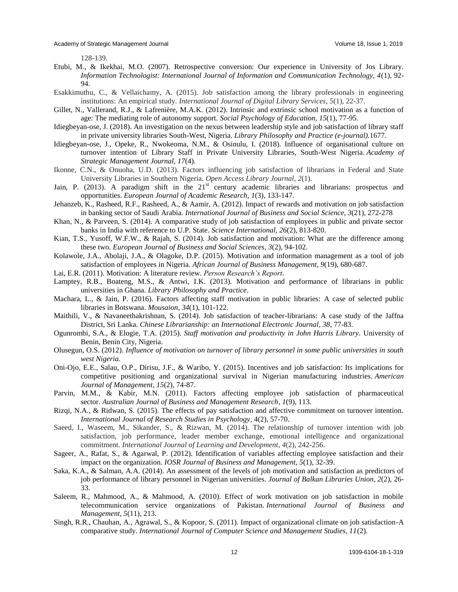128-139.

- Etubi, M., & Ikekhai, M.O. (2007). Retrospective conversion: Our experience in University of Jos Library. *Information Technologist: International Journal of Information and Communication Technology, 4*(1), 92- 94.
- Esakkimuthu, C., & Vellaichamy, A. (2015). Job satisfaction among the library professionals in engineering institutions: An empirical study. *International Journal of Digital Library Services*, *5*(1), 22-37.
- Gillet, N., Vallerand, R.J., & Lafrenière, M.A.K. (2012). Intrinsic and extrinsic school motivation as a function of age: The mediating role of autonomy support. *Social Psychology of Education*, *15*(1), 77-95.
- Idiegbeyan-ose, J. (2018). An investigation on the nexus between leadership style and job satisfaction of library staff in private university libraries South-West, Nigeria. *Library Philosophy and Practice (e-journal).*1677.
- Idiegbeyan-ose, J., Opeke, R., Nwokeoma, N.M., & Osinulu, I. (2018). Influence of organisational culture on turnover intention of Library Staff in Private University Libraries, South-West Nigeria. *Academy of Strategic Management Journal*, *17*(4).
- Ikonne, C.N., & Onuoha, U.D. (2013). Factors influencing job satisfaction of librarians in Federal and State University Libraries in Southern Nigeria. *Open Access Library Journal*, *2*(1).
- Jain, P. (2013). A paradigm shift in the  $21<sup>st</sup>$  century academic libraries and librarians: prospectus and opportunities. *European Journal of Academic Research*, *1*(3), 133-147.
- Jehanzeb, K., Rasheed, R.F., Rasheed, A., & Aamir, A. (2012). Impact of rewards and motivation on job satisfaction in banking sector of Saudi Arabia. *International Journal of Business and Social Science, 3*(21), 272-278
- Khan, N., & Parveen, S. (2014). A comparative study of job satisfaction of employees in public and private sector banks in India with reference to U.P. State. *Science International, 26*(2), 813-820.
- Kian, T.S., Yusoff, W.F.W., & Rajah, S. (2014). Job satisfaction and motivation: What are the difference among these two. *European Journal of Business and Social Sciences*, *3*(2), 94-102.
- Kolawole, J.A., Abolaji, J.A., & Olagoke, D.P. (2015). Motivation and information management as a tool of job satisfaction of employees in Nigeria. *African Journal of Business Management*, *9*(19), 680-687.
- Lai, E.R. (2011). Motivation: A literature review. *Person Research's Report*.
- Lamptey, R.B., Boateng, M.S., & Antwi, I.K. (2013). Motivation and performance of librarians in public universities in Ghana. *Library Philosophy and Practice*.
- Machara, L., & Jain, P. (2016). Factors affecting staff motivation in public libraries: A case of selected public libraries in Botswana. *Mousaion*, *34*(1), 101-122.
- Maithili, V., & Navaneethakrishnan, S. (2014). Job satisfaction of teacher-librarians: A case study of the Jaffna District, Sri Lanka. *Chinese Librarianship: an International Electronic Journal*, *38*, 77-83.
- Ogunrombi, S.A., & Elogie, T.A. (2015). *Staff motivation and productivity in John Harris Library*. University of Benin, Benin City, Nigeria.
- Olusegun, O.S. (2012). *Influence of motivation on turnover of library personnel in some public universities in south west Nigeria.*
- Oni-Ojo, E.E., Salau, O.P., Dirisu, J.F., & Waribo, Y. (2015). Incentives and job satisfaction: Its implications for competitive positioning and organizational survival in Nigerian manufacturing industries. *American Journal of Management*, *15*(2), 74-87.
- Parvin, M.M., & Kabir, M.N. (2011). Factors affecting employee job satisfaction of pharmaceutical sector. *Australian Journal of Business and Management Research*, *1*(9), 113.
- Rizqi, N.A., & Ridwan, S. (2015). The effects of pay satisfaction and affective commitment on turnover intention. *International Journal of Research Studies in Psychology*, 4(2), 57-70.
- Saeed, I., Waseem, M., Sikander, S., & Rizwan, M. (2014). The relationship of turnover intention with job satisfaction, job performance, leader member exchange, emotional intelligence and organizational commitment. *International Journal of Learning and Development*, *4*(2), 242-256.
- Sageer, A., Rafat, S., & Agarwal, P. (2012). Identification of variables affecting employee satisfaction and their impact on the organization. *IOSR Journal of Business and Management*, *5*(1), 32-39.
- Saka, K.A., & Salman, A.A. (2014). An assessment of the levels of job motivation and satisfaction as predictors of job performance of library personnel in Nigerian universities. *Journal of Balkan Libraries Union*, *2*(2), 26- 33.
- Saleem, R., Mahmood, A., & Mahmood, A. (2010). Effect of work motivation on job satisfaction in mobile telecommunication service organizations of Pakistan. *International Journal of Business and Management*, *5*(11), 213.
- Singh, R.R., Chauhan, A., Agrawal, S., & Kopoor, S. (2011). Impact of organizational climate on job satisfaction-A comparative study. *International Journal of Computer Science and Management Studies, 11*(2).